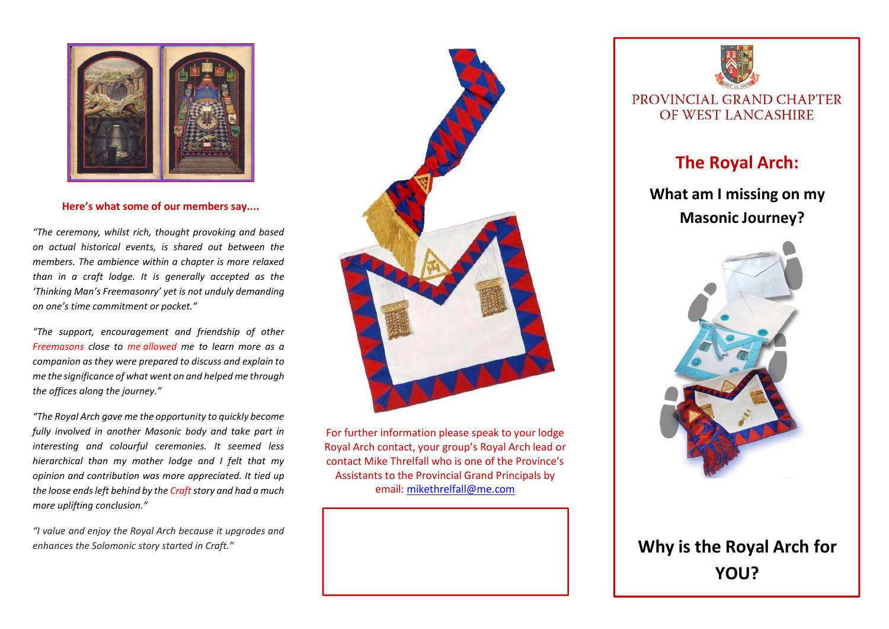

Here's what some of our members say....

"The ceremony, whilst rich, thought provoking and based on actual historical events, is shared out between the members. The ambience within a chapter is more relaxed than in a craft lodge. It is generally accepted as the 'Thinking Man's Freemasonry' yet is not unduly demanding on one's time commitment or pocket."

"The support, encouragement and friendship of other Freemasons close to me allowed me to learn more as a companion as they were prepared to discuss and explain to me the significance of what went on and helped me through the offices along the journey."

"The Royal Arch gave me the opportunity to quickly become fully involved in another Masonic body and take part in interesting and colourful ceremonies. It seemed less hierarchical than my mother lodge and I felt that my opinion and contribution was more appreciated. It tied up the loose ends left behind by the Craft story and had a much more uplifting conclusion."

"I value and enjoy the Royal Arch because it upgrades and enhances the Solomonic story started in Craft."



For further information please speak to your lodge Royal Arch contact, your group's Royal Arch lead or contact Mike Threlfall who is one of the Province's Assistants to the Provincial Grand Principals by email: mikethrelfall@me.com



## The Royal Arch:

## What am I missing on my Masonic Journey?



## Why is the Royal Arch for YOU?